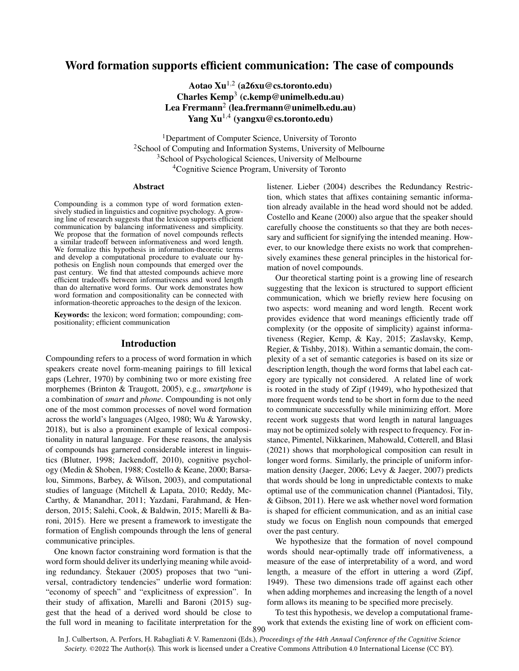# Word formation supports efficient communication: The case of compounds

Aotao Xu1*,*<sup>2</sup> (a26xu@cs.toronto.edu) Charles  $Kemp<sup>3</sup>$  (c.kemp@unimelb.edu.au) Lea Frermann<sup>2</sup> (lea.frermann@unimelb.edu.au) Yang Xu1*,*<sup>4</sup> (yangxu@cs.toronto.edu)

<sup>1</sup>Department of Computer Science, University of Toronto <sup>2</sup>School of Computing and Information Systems, University of Melbourne <sup>3</sup>School of Psychological Sciences, University of Melbourne <sup>4</sup>Cognitive Science Program, University of Toronto

#### Abstract

Compounding is a common type of word formation extensively studied in linguistics and cognitive psychology. A growing line of research suggests that the lexicon supports efficient communication by balancing informativeness and simplicity. We propose that the formation of novel compounds reflects a similar tradeoff between informativeness and word length. We formalize this hypothesis in information-theoretic terms and develop a computational procedure to evaluate our hypothesis on English noun compounds that emerged over the past century. We find that attested compounds achieve more efficient tradeoffs between informativeness and word length than do alternative word forms. Our work demonstrates how word formation and compositionality can be connected with information-theoretic approaches to the design of the lexicon.

Keywords: the lexicon; word formation; compounding; compositionality; efficient communication

### Introduction

Compounding refers to a process of word formation in which speakers create novel form-meaning pairings to fill lexical gaps (Lehrer, 1970) by combining two or more existing free morphemes (Brinton & Traugott, 2005), e.g., *smartphone* is a combination of *smart* and *phone*. Compounding is not only one of the most common processes of novel word formation across the world's languages (Algeo, 1980; Wu & Yarowsky, 2018), but is also a prominent example of lexical compositionality in natural language. For these reasons, the analysis of compounds has garnered considerable interest in linguistics (Blutner, 1998; Jackendoff, 2010), cognitive psychology (Medin & Shoben, 1988; Costello & Keane, 2000; Barsalou, Simmons, Barbey, & Wilson, 2003), and computational studies of language (Mitchell & Lapata, 2010; Reddy, Mc-Carthy, & Manandhar, 2011; Yazdani, Farahmand, & Henderson, 2015; Salehi, Cook, & Baldwin, 2015; Marelli & Baroni, 2015). Here we present a framework to investigate the formation of English compounds through the lens of general communicative principles.

One known factor constraining word formation is that the word form should deliver its underlying meaning while avoiding redundancy. Stekauer  $(2005)$  proposes that two "universal, contradictory tendencies" underlie word formation: "economy of speech" and "explicitness of expression". In their study of affixation, Marelli and Baroni (2015) suggest that the head of a derived word should be close to the full word in meaning to facilitate interpretation for the listener. Lieber (2004) describes the Redundancy Restriction, which states that affixes containing semantic information already available in the head word should not be added. Costello and Keane (2000) also argue that the speaker should carefully choose the constituents so that they are both necessary and sufficient for signifying the intended meaning. However, to our knowledge there exists no work that comprehensively examines these general principles in the historical formation of novel compounds.

Our theoretical starting point is a growing line of research suggesting that the lexicon is structured to support efficient communication, which we briefly review here focusing on two aspects: word meaning and word length. Recent work provides evidence that word meanings efficiently trade off complexity (or the opposite of simplicity) against informativeness (Regier, Kemp, & Kay, 2015; Zaslavsky, Kemp, Regier, & Tishby, 2018). Within a semantic domain, the complexity of a set of semantic categories is based on its size or description length, though the word forms that label each category are typically not considered. A related line of work is rooted in the study of Zipf (1949), who hypothesized that more frequent words tend to be short in form due to the need to communicate successfully while minimizing effort. More recent work suggests that word length in natural languages may not be optimized solely with respect to frequency. For instance, Pimentel, Nikkarinen, Mahowald, Cotterell, and Blasi (2021) shows that morphological composition can result in longer word forms. Similarly, the principle of uniform information density (Jaeger, 2006; Levy & Jaeger, 2007) predicts that words should be long in unpredictable contexts to make optimal use of the communication channel (Piantadosi, Tily, & Gibson, 2011). Here we ask whether novel word formation is shaped for efficient communication, and as an initial case study we focus on English noun compounds that emerged over the past century.

We hypothesize that the formation of novel compound words should near-optimally trade off informativeness, a measure of the ease of interpretability of a word, and word length, a measure of the effort in uttering a word (Zipf, 1949). These two dimensions trade off against each other when adding morphemes and increasing the length of a novel form allows its meaning to be specified more precisely.

To test this hypothesis, we develop a computational framework that extends the existing line of work on efficient com-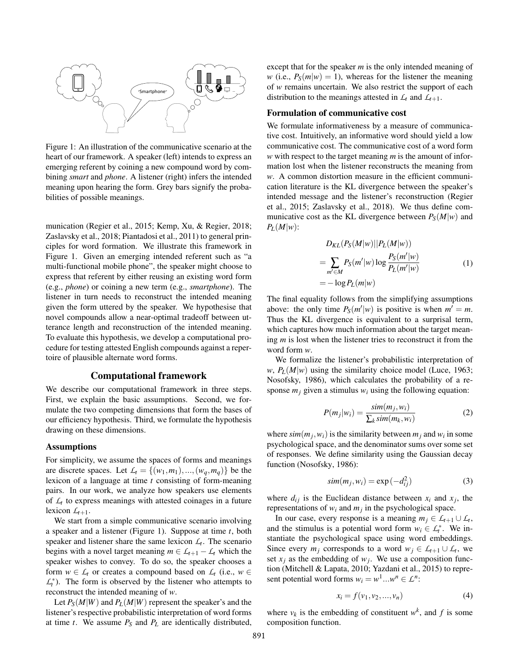

Figure 1: An illustration of the communicative scenario at the heart of our framework. A speaker (left) intends to express an emerging referent by coining a new compound word by combining *smart* and *phone*. A listener (right) infers the intended meaning upon hearing the form. Grey bars signify the probabilities of possible meanings.

munication (Regier et al., 2015; Kemp, Xu, & Regier, 2018; Zaslavsky et al., 2018; Piantadosi et al., 2011) to general principles for word formation. We illustrate this framework in Figure 1. Given an emerging intended referent such as "a multi-functional mobile phone", the speaker might choose to express that referent by either reusing an existing word form (e.g., *phone*) or coining a new term (e.g., *smartphone*). The listener in turn needs to reconstruct the intended meaning given the form uttered by the speaker. We hypothesise that novel compounds allow a near-optimal tradeoff between utterance length and reconstruction of the intended meaning. To evaluate this hypothesis, we develop a computational procedure for testing attested English compounds against a repertoire of plausible alternate word forms.

## Computational framework

We describe our computational framework in three steps. First, we explain the basic assumptions. Second, we formulate the two competing dimensions that form the bases of our efficiency hypothesis. Third, we formulate the hypothesis drawing on these dimensions.

### Assumptions

For simplicity, we assume the spaces of forms and meanings are discrete spaces. Let  $L_t = \{(w_1, m_1), ..., (w_q, m_q)\}$  be the lexicon of a language at time *t* consisting of form-meaning pairs. In our work, we analyze how speakers use elements of  $L<sub>t</sub>$  to express meanings with attested coinages in a future lexicon  $L_{t+1}$ .

We start from a simple communicative scenario involving a speaker and a listener (Figure 1). Suppose at time *t*, both speaker and listener share the same lexicon  $\mathcal{L}_t$ . The scenario begins with a novel target meaning  $m \in L_{t+1} - L_t$  which the speaker wishes to convey. To do so, the speaker chooses a form  $w \in L_t$  or creates a compound based on  $L_t$  (i.e.,  $w \in L_t$  $\mathcal{L}_t^*$ ). The form is observed by the listener who attempts to reconstruct the intended meaning of *w*.

Let  $P_S(M|W)$  and  $P_L(M|W)$  represent the speaker's and the listener's respective probabilistic interpretation of word forms at time  $t$ . We assume  $P_S$  and  $P_L$  are identically distributed, except that for the speaker *m* is the only intended meaning of *w* (i.e.,  $P_S(m|w) = 1$ ), whereas for the listener the meaning of *w* remains uncertain. We also restrict the support of each distribution to the meanings attested in  $\mathcal{L}_t$  and  $\mathcal{L}_{t+1}$ .

### Formulation of communicative cost

We formulate informativeness by a measure of communicative cost. Intuitively, an informative word should yield a low communicative cost. The communicative cost of a word form *w* with respect to the target meaning *m* is the amount of information lost when the listener reconstructs the meaning from *w*. A common distortion measure in the efficient communication literature is the KL divergence between the speaker's intended message and the listener's reconstruction (Regier et al., 2015; Zaslavsky et al., 2018). We thus define communicative cost as the KL divergence between  $P_S(M|w)$  and  $P_L(M|w)$ :

$$
D_{KL}(P_S(M|w)||P_L(M|w))
$$
  
= 
$$
\sum_{m' \in M} P_S(m'|w) \log \frac{P_S(m'|w)}{P_L(m'|w)}
$$
  
= 
$$
-\log P_L(m|w)
$$
 (1)

The final equality follows from the simplifying assumptions above: the only time  $P_S(m'|w)$  is positive is when  $m' = m$ . Thus the KL divergence is equivalent to a surprisal term, which captures how much information about the target meaning *m* is lost when the listener tries to reconstruct it from the word form *w*.

We formalize the listener's probabilistic interpretation of *w*,  $P_L(M|w)$  using the similarity choice model (Luce, 1963; Nosofsky, 1986), which calculates the probability of a response  $m_j$  given a stimulus  $w_i$  using the following equation:

$$
P(m_j|w_i) = \frac{\text{sim}(m_j, w_i)}{\sum_k \text{sim}(m_k, w_i)}
$$
(2)

where  $\sin(m_i, w_i)$  is the similarity between  $m_i$  and  $w_i$  in some psychological space, and the denominator sums over some set of responses. We define similarity using the Gaussian decay function (Nosofsky, 1986):

$$
sim(m_j, w_i) = \exp(-d_{ij}^2)
$$
 (3)

where  $d_{ij}$  is the Euclidean distance between  $x_i$  and  $x_j$ , the representations of  $w_i$  and  $m_j$  in the psychological space.

In our case, every response is a meaning  $m_i \in L_{t+1} \cup L_t$ , and the stimulus is a potential word form  $w_i \in L_t^*$ . We instantiate the psychological space using word embeddings. Since every  $m_j$  corresponds to a word  $w_j \in L_{t+1} \cup L_t$ , we set  $x_j$  as the embedding of  $w_j$ . We use a composition function (Mitchell & Lapata, 2010; Yazdani et al., 2015) to represent potential word forms  $w_i = w^1 ... w^n \in L^n$ :

$$
x_i = f(v_1, v_2, ..., v_n)
$$
 (4)

where  $v_k$  is the embedding of constituent  $w^k$ , and f is some composition function.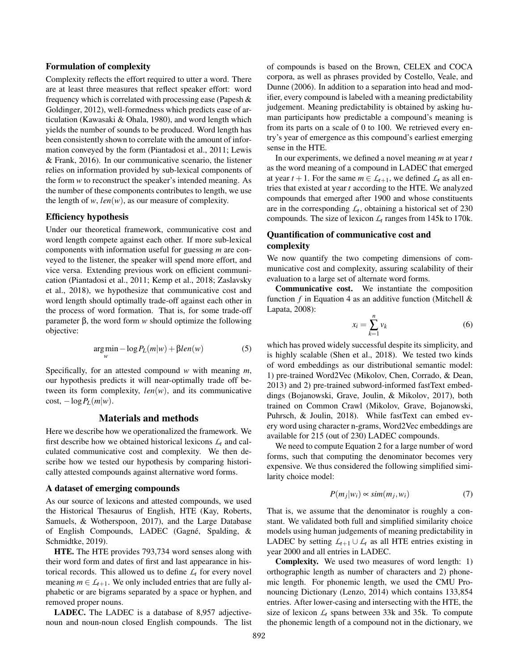### Formulation of complexity

Complexity reflects the effort required to utter a word. There are at least three measures that reflect speaker effort: word frequency which is correlated with processing ease (Papesh & Goldinger, 2012), well-formedness which predicts ease of articulation (Kawasaki & Ohala, 1980), and word length which yields the number of sounds to be produced. Word length has been consistently shown to correlate with the amount of information conveyed by the form (Piantadosi et al., 2011; Lewis & Frank, 2016). In our communicative scenario, the listener relies on information provided by sub-lexical components of the form *w* to reconstruct the speaker's intended meaning. As the number of these components contributes to length, we use the length of  $w$ ,  $len(w)$ , as our measure of complexity.

### Efficiency hypothesis

Under our theoretical framework, communicative cost and word length compete against each other. If more sub-lexical components with information useful for guessing *m* are conveyed to the listener, the speaker will spend more effort, and vice versa. Extending previous work on efficient communication (Piantadosi et al., 2011; Kemp et al., 2018; Zaslavsky et al., 2018), we hypothesize that communicative cost and word length should optimally trade-off against each other in the process of word formation. That is, for some trade-off parameter  $\beta$ , the word form *w* should optimize the following objective:

$$
\underset{w}{\arg\min} -\log P_L(m|w) + \beta len(w) \tag{5}
$$

Specifically, for an attested compound *w* with meaning *m*, our hypothesis predicts it will near-optimally trade off between its form complexity, *len*(*w*), and its communicative  $\cos t$ ,  $-\log P_L(m|w)$ .

### Materials and methods

Here we describe how we operationalized the framework. We first describe how we obtained historical lexicons  $\mathcal{L}_t$  and calculated communicative cost and complexity. We then describe how we tested our hypothesis by comparing historically attested compounds against alternative word forms.

### A dataset of emerging compounds

As our source of lexicons and attested compounds, we used the Historical Thesaurus of English, HTE (Kay, Roberts, Samuels, & Wotherspoon, 2017), and the Large Database of English Compounds, LADEC (Gagné, Spalding, & Schmidtke, 2019).

HTE. The HTE provides 793,734 word senses along with their word form and dates of first and last appearance in historical records. This allowed us to define  $L<sub>t</sub>$  for every novel meaning  $m \in L_{t+1}$ . We only included entries that are fully alphabetic or are bigrams separated by a space or hyphen, and removed proper nouns.

LADEC. The LADEC is a database of 8,957 adjectivenoun and noun-noun closed English compounds. The list of compounds is based on the Brown, CELEX and COCA corpora, as well as phrases provided by Costello, Veale, and Dunne (2006). In addition to a separation into head and modifier, every compound is labeled with a meaning predictability judgement. Meaning predictability is obtained by asking human participants how predictable a compound's meaning is from its parts on a scale of 0 to 100. We retrieved every entry's year of emergence as this compound's earliest emerging sense in the HTE.

In our experiments, we defined a novel meaning *m* at year *t* as the word meaning of a compound in LADEC that emerged at year  $t + 1$ . For the same  $m \in L_{t+1}$ , we defined  $L_t$  as all entries that existed at year *t* according to the HTE. We analyzed compounds that emerged after 1900 and whose constituents are in the corresponding  $L_t$ , obtaining a historical set of 230 compounds. The size of lexicon  $L_t$  ranges from 145k to 170k.

# Quantification of communicative cost and complexity

We now quantify the two competing dimensions of communicative cost and complexity, assuring scalability of their evaluation to a large set of alternate word forms.

Communicative cost. We instantiate the composition function *f* in Equation 4 as an additive function (Mitchell & Lapata, 2008):

$$
x_i = \sum_{k=1}^n v_k \tag{6}
$$

which has proved widely successful despite its simplicity, and is highly scalable (Shen et al., 2018). We tested two kinds of word embeddings as our distributional semantic model: 1) pre-trained Word2Vec (Mikolov, Chen, Corrado, & Dean, 2013) and 2) pre-trained subword-informed fastText embeddings (Bojanowski, Grave, Joulin, & Mikolov, 2017), both trained on Common Crawl (Mikolov, Grave, Bojanowski, Puhrsch, & Joulin, 2018). While fastText can embed every word using character n-grams, Word2Vec embeddings are available for 215 (out of 230) LADEC compounds.

We need to compute Equation 2 for a large number of word forms, such that computing the denominator becomes very expensive. We thus considered the following simplified similarity choice model:

$$
P(m_j|w_i) \propto sim(m_j, w_i) \tag{7}
$$

That is, we assume that the denominator is roughly a constant. We validated both full and simplified similarity choice models using human judgements of meaning predictability in LADEC by setting  $L_{t+1} \cup L_t$  as all HTE entries existing in year 2000 and all entries in LADEC.

Complexity. We used two measures of word length: 1) orthographic length as number of characters and 2) phonemic length. For phonemic length, we used the CMU Pronouncing Dictionary (Lenzo, 2014) which contains 133,854 entries. After lower-casing and intersecting with the HTE, the size of lexicon *L<sup>t</sup>* spans between 33k and 35k. To compute the phonemic length of a compound not in the dictionary, we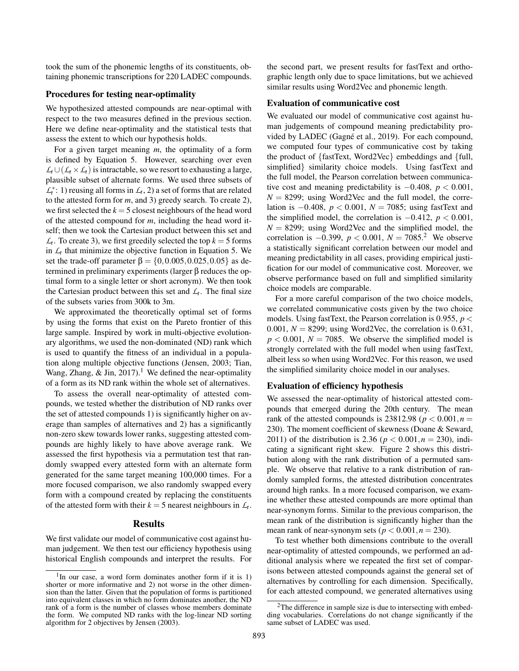took the sum of the phonemic lengths of its constituents, obtaining phonemic transcriptions for 220 LADEC compounds.

### Procedures for testing near-optimality

We hypothesized attested compounds are near-optimal with respect to the two measures defined in the previous section. Here we define near-optimality and the statistical tests that assess the extent to which our hypothesis holds.

For a given target meaning *m*, the optimality of a form is defined by Equation 5. However, searching over even  $L_t \cup (L_t \times L_t)$  is intractable, so we resort to exhausting a large, plausible subset of alternate forms. We used three subsets of  $\mathcal{L}_t^*$ : 1) reusing all forms in  $\mathcal{L}_t$ , 2) a set of forms that are related to the attested form for *m*, and 3) greedy search. To create 2), we first selected the  $k = 5$  closest neighbours of the head word of the attested compound for *m*, including the head word itself; then we took the Cartesian product between this set and  $L_t$ . To create 3), we first greedily selected the top  $k = 5$  forms in  $L<sub>t</sub>$  that minimize the objective function in Equation 5. We set the trade-off parameter  $β = \{0, 0.005, 0.025, 0.05\}$  as determined in preliminary experiments (larger  $\beta$  reduces the optimal form to a single letter or short acronym). We then took the Cartesian product between this set and  $L_t$ . The final size of the subsets varies from 300k to 3m.

We approximated the theoretically optimal set of forms by using the forms that exist on the Pareto frontier of this large sample. Inspired by work in multi-objective evolutionary algorithms, we used the non-dominated (ND) rank which is used to quantify the fitness of an individual in a population along multiple objective functions (Jensen, 2003; Tian, Wang, Zhang, & Jin,  $2017$ ).<sup>1</sup> We defined the near-optimality of a form as its ND rank within the whole set of alternatives.

To assess the overall near-optimality of attested compounds, we tested whether the distribution of ND ranks over the set of attested compounds 1) is significantly higher on average than samples of alternatives and 2) has a significantly non-zero skew towards lower ranks, suggesting attested compounds are highly likely to have above average rank. We assessed the first hypothesis via a permutation test that randomly swapped every attested form with an alternate form generated for the same target meaning 100,000 times. For a more focused comparison, we also randomly swapped every form with a compound created by replacing the constituents of the attested form with their  $k = 5$  nearest neighbours in  $\mathcal{L}_t$ .

## Results

We first validate our model of communicative cost against human judgement. We then test our efficiency hypothesis using historical English compounds and interpret the results. For the second part, we present results for fastText and orthographic length only due to space limitations, but we achieved similar results using Word2Vec and phonemic length.

### Evaluation of communicative cost

We evaluated our model of communicative cost against human judgements of compound meaning predictability provided by LADEC (Gagné et al., 2019). For each compound, we computed four types of communicative cost by taking the product of *{*fastText, Word2Vec*}* embeddings and *{*full, simplified*}* similarity choice models. Using fastText and the full model, the Pearson correlation between communicative cost and meaning predictability is  $-0.408$ ,  $p < 0.001$ ,  $N = 8299$ ; using Word2Vec and the full model, the correlation is  $-0.408$ ,  $p < 0.001$ ,  $N = 7085$ ; using fastText and the simplified model, the correlation is  $-0.412$ ,  $p < 0.001$ ,  $N = 8299$ ; using Word2Vec and the simplified model, the correlation is  $-0.399$ ,  $p < 0.001$ ,  $N = 7085$ .<sup>2</sup> We observe a statistically significant correlation between our model and meaning predictability in all cases, providing empirical justification for our model of communicative cost. Moreover, we observe performance based on full and simplified similarity choice models are comparable.

For a more careful comparison of the two choice models, we correlated communicative costs given by the two choice models. Using fastText, the Pearson correlation is 0*.*955, *p <* 0.001,  $N = 8299$ ; using Word2Vec, the correlation is 0.631,  $p < 0.001$ ,  $N = 7085$ . We observe the simplified model is strongly correlated with the full model when using fastText, albeit less so when using Word2Vec. For this reason, we used the simplified similarity choice model in our analyses.

### Evaluation of efficiency hypothesis

We assessed the near-optimality of historical attested compounds that emerged during the 20th century. The mean rank of the attested compounds is 23812.98 ( $p < 0.001, n =$ 230). The moment coefficient of skewness (Doane & Seward, 2011) of the distribution is 2.36 ( $p < 0.001, n = 230$ ), indicating a significant right skew. Figure 2 shows this distribution along with the rank distribution of a permuted sample. We observe that relative to a rank distribution of randomly sampled forms, the attested distribution concentrates around high ranks. In a more focused comparison, we examine whether these attested compounds are more optimal than near-synonym forms. Similar to the previous comparison, the mean rank of the distribution is significantly higher than the mean rank of near-synonym sets ( $p < 0.001, n = 230$ ).

To test whether both dimensions contribute to the overall near-optimality of attested compounds, we performed an additional analysis where we repeated the first set of comparisons between attested compounds against the general set of alternatives by controlling for each dimension. Specifically, for each attested compound, we generated alternatives using

 $1$ In our case, a word form dominates another form if it is 1) shorter or more informative and 2) not worse in the other dimension than the latter. Given that the population of forms is partitioned into equivalent classes in which no form dominates another, the ND rank of a form is the number of classes whose members dominate the form. We computed ND ranks with the log-linear ND sorting algorithm for 2 objectives by Jensen (2003).

<sup>&</sup>lt;sup>2</sup>The difference in sample size is due to intersecting with embedding vocabularies. Correlations do not change significantly if the same subset of LADEC was used.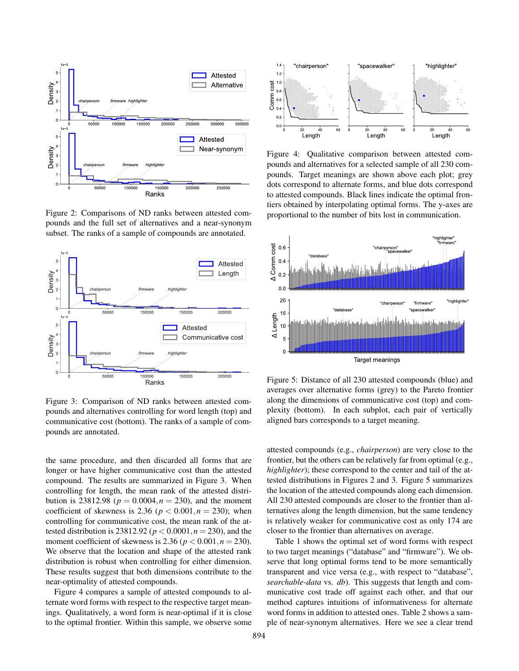

Figure 2: Comparisons of ND ranks between attested compounds and the full set of alternatives and a near-synonym subset. The ranks of a sample of compounds are annotated.



Figure 3: Comparison of ND ranks between attested compounds and alternatives controlling for word length (top) and communicative cost (bottom). The ranks of a sample of compounds are annotated.

the same procedure, and then discarded all forms that are longer or have higher communicative cost than the attested compound. The results are summarized in Figure 3. When controlling for length, the mean rank of the attested distribution is 23812.98 ( $p = 0.0004, n = 230$ ), and the moment coefficient of skewness is 2.36 ( $p < 0.001, n = 230$ ); when controlling for communicative cost, the mean rank of the attested distribution is 23812.92 ( $p < 0.0001, n = 230$ ), and the moment coefficient of skewness is 2.36 ( $p < 0.001, n = 230$ ). We observe that the location and shape of the attested rank distribution is robust when controlling for either dimension. These results suggest that both dimensions contribute to the near-optimality of attested compounds.

Figure 4 compares a sample of attested compounds to alternate word forms with respect to the respective target meanings. Qualitatively, a word form is near-optimal if it is close to the optimal frontier. Within this sample, we observe some



Figure 4: Qualitative comparison between attested compounds and alternatives for a selected sample of all 230 compounds. Target meanings are shown above each plot; grey dots correspond to alternate forms, and blue dots correspond to attested compounds. Black lines indicate the optimal frontiers obtained by interpolating optimal forms. The y-axes are proportional to the number of bits lost in communication.



Figure 5: Distance of all 230 attested compounds (blue) and averages over alternative forms (grey) to the Pareto frontier along the dimensions of communicative cost (top) and complexity (bottom). In each subplot, each pair of vertically aligned bars corresponds to a target meaning.

attested compounds (e.g., *chairperson*) are very close to the frontier, but the others can be relatively far from optimal (e.g., *highlighter*); these correspond to the center and tail of the attested distributions in Figures 2 and 3. Figure 5 summarizes the location of the attested compounds along each dimension. All 230 attested compounds are closer to the frontier than alternatives along the length dimension, but the same tendency is relatively weaker for communicative cost as only 174 are closer to the frontier than alternatives on average.

Table 1 shows the optimal set of word forms with respect to two target meanings ("database" and "firmware"). We observe that long optimal forms tend to be more semantically transparent and vice versa (e.g., with respect to "database", *searchable-data* vs. *db*). This suggests that length and communicative cost trade off against each other, and that our method captures intuitions of informativeness for alternate word forms in addition to attested ones. Table 2 shows a sample of near-synonym alternatives. Here we see a clear trend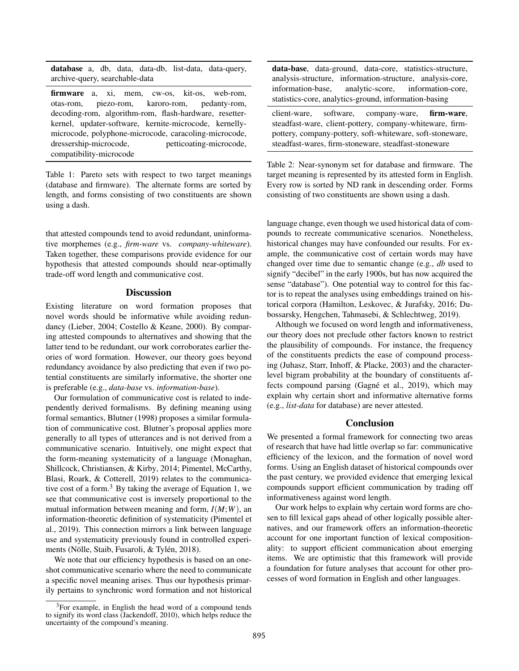database a, db, data, data-db, list-data, data-query, archive-query, searchable-data

firmware a, xi, mem, cw-os, kit-os, web-rom, otas-rom, piezo-rom, karoro-rom, pedanty-rom, decoding-rom, algorithm-rom, flash-hardware, resetterkernel, updater-software, kernite-microcode, kernellymicrocode, polyphone-microcode, caracoling-microcode, dressership-microcode, petticoating-microcode, compatibility-microcode

Table 1: Pareto sets with respect to two target meanings (database and firmware). The alternate forms are sorted by length, and forms consisting of two constituents are shown using a dash.

that attested compounds tend to avoid redundant, uninformative morphemes (e.g., *firm-ware* vs. *company-whiteware*). Taken together, these comparisons provide evidence for our hypothesis that attested compounds should near-optimally trade-off word length and communicative cost.

# **Discussion**

Existing literature on word formation proposes that novel words should be informative while avoiding redundancy (Lieber, 2004; Costello & Keane, 2000). By comparing attested compounds to alternatives and showing that the latter tend to be redundant, our work corroborates earlier theories of word formation. However, our theory goes beyond redundancy avoidance by also predicting that even if two potential constituents are similarly informative, the shorter one is preferable (e.g., *data-base* vs. *information-base*).

Our formulation of communicative cost is related to independently derived formalisms. By defining meaning using formal semantics, Blutner (1998) proposes a similar formulation of communicative cost. Blutner's proposal applies more generally to all types of utterances and is not derived from a communicative scenario. Intuitively, one might expect that the form-meaning systematicity of a language (Monaghan, Shillcock, Christiansen, & Kirby, 2014; Pimentel, McCarthy, Blasi, Roark, & Cotterell, 2019) relates to the communicative cost of a form.<sup>3</sup> By taking the average of Equation 1, we see that communicative cost is inversely proportional to the mutual information between meaning and form, *I*(*M*;*W*), an information-theoretic definition of systematicity (Pimentel et al., 2019). This connection mirrors a link between language use and systematicity previously found in controlled experiments (Nölle, Staib, Fusaroli, & Tylén, 2018).

We note that our efficiency hypothesis is based on an oneshot communicative scenario where the need to communicate a specific novel meaning arises. Thus our hypothesis primarily pertains to synchronic word formation and not historical

| data-base, data-ground, data-core, statistics-structure,                                                     |  |  |
|--------------------------------------------------------------------------------------------------------------|--|--|
| analysis-structure, information-structure, analysis-core,                                                    |  |  |
| information-base, analytic-score, information-core,<br>statistics-core, analytics-ground, information-basing |  |  |
| client-ware, software, company-ware, firm-ware,<br>steadfast-ware, client-pottery, company-whiteware, firm-  |  |  |

steadfast-wares, firm-stoneware, steadfast-stoneware Table 2: Near-synonym set for database and firmware. The target meaning is represented by its attested form in English. Every row is sorted by ND rank in descending order. Forms

consisting of two constituents are shown using a dash.

pottery, company-pottery, soft-whiteware, soft-stoneware,

language change, even though we used historical data of compounds to recreate communicative scenarios. Nonetheless, historical changes may have confounded our results. For example, the communicative cost of certain words may have changed over time due to semantic change (e.g., *db* used to signify "decibel" in the early 1900s, but has now acquired the sense "database"). One potential way to control for this factor is to repeat the analyses using embeddings trained on historical corpora (Hamilton, Leskovec, & Jurafsky, 2016; Dubossarsky, Hengchen, Tahmasebi, & Schlechtweg, 2019).

Although we focused on word length and informativeness, our theory does not preclude other factors known to restrict the plausibility of compounds. For instance, the frequency of the constituents predicts the ease of compound processing (Juhasz, Starr, Inhoff, & Placke, 2003) and the characterlevel bigram probability at the boundary of constituents affects compound parsing (Gagné et al., 2019), which may explain why certain short and informative alternative forms (e.g., *list-data* for database) are never attested.

### **Conclusion**

We presented a formal framework for connecting two areas of research that have had little overlap so far: communicative efficiency of the lexicon, and the formation of novel word forms. Using an English dataset of historical compounds over the past century, we provided evidence that emerging lexical compounds support efficient communication by trading off informativeness against word length.

Our work helps to explain why certain word forms are chosen to fill lexical gaps ahead of other logically possible alternatives, and our framework offers an information-theoretic account for one important function of lexical compositionality: to support efficient communication about emerging items. We are optimistic that this framework will provide a foundation for future analyses that account for other processes of word formation in English and other languages.

<sup>3</sup>For example, in English the head word of a compound tends to signify its word class (Jackendoff, 2010), which helps reduce the uncertainty of the compound's meaning.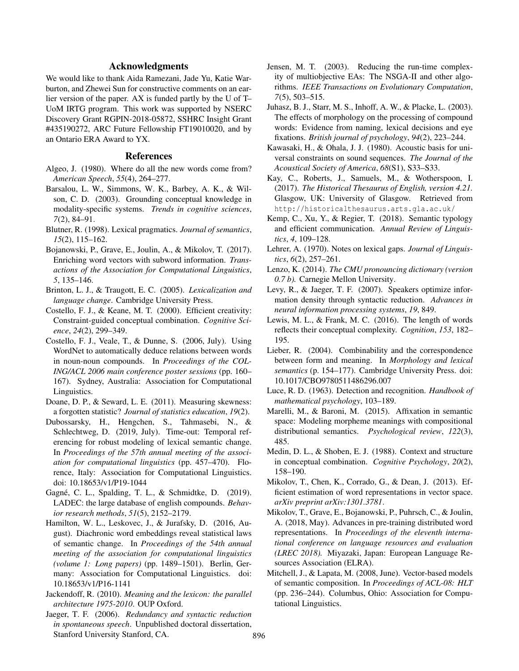# Acknowledgments

We would like to thank Aida Ramezani, Jade Yu, Katie Warburton, and Zhewei Sun for constructive comments on an earlier version of the paper. AX is funded partly by the U of T– UoM IRTG program. This work was supported by NSERC Discovery Grant RGPIN-2018-05872, SSHRC Insight Grant #435190272, ARC Future Fellowship FT19010020, and by an Ontario ERA Award to YX.

### References

- Algeo, J. (1980). Where do all the new words come from? *American Speech*, *55*(4), 264–277.
- Barsalou, L. W., Simmons, W. K., Barbey, A. K., & Wilson, C. D. (2003). Grounding conceptual knowledge in modality-specific systems. *Trends in cognitive sciences*, *7*(2), 84–91.
- Blutner, R. (1998). Lexical pragmatics. *Journal of semantics*, *15*(2), 115–162.
- Bojanowski, P., Grave, E., Joulin, A., & Mikolov, T. (2017). Enriching word vectors with subword information. *Transactions of the Association for Computational Linguistics*, *5*, 135–146.
- Brinton, L. J., & Traugott, E. C. (2005). *Lexicalization and language change*. Cambridge University Press.
- Costello, F. J., & Keane, M. T. (2000). Efficient creativity: Constraint-guided conceptual combination. *Cognitive Science*, *24*(2), 299–349.
- Costello, F. J., Veale, T., & Dunne, S. (2006, July). Using WordNet to automatically deduce relations between words in noun-noun compounds. In *Proceedings of the COL-ING/ACL 2006 main conference poster sessions* (pp. 160– 167). Sydney, Australia: Association for Computational Linguistics.
- Doane, D. P., & Seward, L. E. (2011). Measuring skewness: a forgotten statistic? *Journal of statistics education*, *19*(2).
- Dubossarsky, H., Hengchen, S., Tahmasebi, N., & Schlechtweg, D. (2019, July). Time-out: Temporal referencing for robust modeling of lexical semantic change. In *Proceedings of the 57th annual meeting of the association for computational linguistics* (pp. 457–470). Florence, Italy: Association for Computational Linguistics. doi: 10.18653/v1/P19-1044
- Gagné, C. L., Spalding, T. L., & Schmidtke, D. (2019). LADEC: the large database of english compounds. *Behavior research methods*, *51*(5), 2152–2179.
- Hamilton, W. L., Leskovec, J., & Jurafsky, D. (2016, August). Diachronic word embeddings reveal statistical laws of semantic change. In *Proceedings of the 54th annual meeting of the association for computational linguistics (volume 1: Long papers)* (pp. 1489–1501). Berlin, Germany: Association for Computational Linguistics. doi: 10.18653/v1/P16-1141
- Jackendoff, R. (2010). *Meaning and the lexicon: the parallel architecture 1975-2010*. OUP Oxford.
- Jaeger, T. F. (2006). *Redundancy and syntactic reduction in spontaneous speech*. Unpublished doctoral dissertation, Stanford University Stanford, CA.
- Jensen, M. T. (2003). Reducing the run-time complexity of multiobjective EAs: The NSGA-II and other algorithms. *IEEE Transactions on Evolutionary Computation*, *7*(5), 503–515.
- Juhasz, B. J., Starr, M. S., Inhoff, A. W., & Placke, L. (2003). The effects of morphology on the processing of compound words: Evidence from naming, lexical decisions and eye fixations. *British journal of psychology*, *94*(2), 223–244.
- Kawasaki, H., & Ohala, J. J. (1980). Acoustic basis for universal constraints on sound sequences. *The Journal of the Acoustical Society of America*, *68*(S1), S33–S33.
- Kay, C., Roberts, J., Samuels, M., & Wotherspoon, I. (2017). *The Historical Thesaurus of English, version 4.21.* Glasgow, UK: University of Glasgow. Retrieved from http://historicalthesaurus.arts.gla.ac.uk/
- Kemp, C., Xu, Y., & Regier, T. (2018). Semantic typology and efficient communication. *Annual Review of Linguistics*, *4*, 109–128.
- Lehrer, A. (1970). Notes on lexical gaps. *Journal of Linguistics*, *6*(2), 257–261.
- Lenzo, K. (2014). *The CMU pronouncing dictionary (version 0.7 b).* Carnegie Mellon University.
- Levy, R., & Jaeger, T. F. (2007). Speakers optimize information density through syntactic reduction. *Advances in neural information processing systems*, *19*, 849.
- Lewis, M. L., & Frank, M. C. (2016). The length of words reflects their conceptual complexity. *Cognition*, *153*, 182– 195.
- Lieber, R. (2004). Combinability and the correspondence between form and meaning. In *Morphology and lexical semantics* (p. 154–177). Cambridge University Press. doi: 10.1017/CBO9780511486296.007
- Luce, R. D. (1963). Detection and recognition. *Handbook of mathematical psychology*, 103–189.
- Marelli, M., & Baroni, M. (2015). Affixation in semantic space: Modeling morpheme meanings with compositional distributional semantics. *Psychological review*, *122*(3), 485.
- Medin, D. L., & Shoben, E. J. (1988). Context and structure in conceptual combination. *Cognitive Psychology*, *20*(2), 158–190.
- Mikolov, T., Chen, K., Corrado, G., & Dean, J. (2013). Efficient estimation of word representations in vector space. *arXiv preprint arXiv:1301.3781*.
- Mikolov, T., Grave, E., Bojanowski, P., Puhrsch, C., & Joulin, A. (2018, May). Advances in pre-training distributed word representations. In *Proceedings of the eleventh international conference on language resources and evaluation (LREC 2018).* Miyazaki, Japan: European Language Resources Association (ELRA).
- Mitchell, J., & Lapata, M. (2008, June). Vector-based models of semantic composition. In *Proceedings of ACL-08: HLT* (pp. 236–244). Columbus, Ohio: Association for Computational Linguistics.